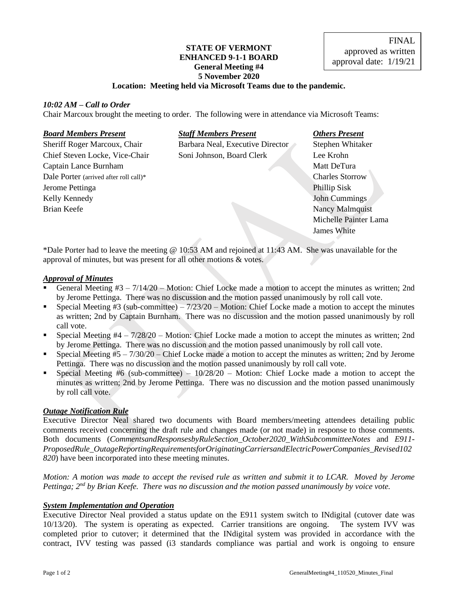# **STATE OF VERMONT ENHANCED 9-1-1 BOARD General Meeting #4 5 November 2020**

# **Location: Meeting held via Microsoft Teams due to the pandemic.**

# *10:02 AM – Call to Order*

Chair Marcoux brought the meeting to order. The following were in attendance via Microsoft Teams:

# *Board Members Present Staff Members Present Others Present*

**Captain Lance Burnham Matt DeTura** Matt DeTura Dale Porter (arrived after roll call)\* Charles Storrow Jerome Pettinga Phillip Sisk Phillip Sisk Phillip Sisk Phillip Sisk Phillip Sisk Kelly Kennedy **John Cummings** John Cummings Brian Keefe Nancy Malmquist

Sheriff Roger Marcoux, Chair Barbara Neal, Executive Director Stephen Whitaker Chief Steven Locke, Vice-Chair Soni Johnson, Board Clerk Lee Krohn

Michelle Painter Lama James White

\*Dale Porter had to leave the meeting @ 10:53 AM and rejoined at 11:43 AM. She was unavailable for the approval of minutes, but was present for all other motions & votes.

# *Approval of Minutes*

- General Meeting  $#3 7/14/20$  Motion: Chief Locke made a motion to accept the minutes as written; 2nd by Jerome Pettinga. There was no discussion and the motion passed unanimously by roll call vote.
- **•** Special Meeting #3 (sub-committee)  $7/23/20$  Motion: Chief Locke made a motion to accept the minutes as written; 2nd by Captain Burnham. There was no discussion and the motion passed unanimously by roll call vote.
- **•** Special Meeting  $#4 \frac{7}{28}/20$  Motion: Chief Locke made a motion to accept the minutes as written; 2nd by Jerome Pettinga. There was no discussion and the motion passed unanimously by roll call vote.
- **•** Special Meeting  $#5 7/30/20$  Chief Locke made a motion to accept the minutes as written; 2nd by Jerome Pettinga. There was no discussion and the motion passed unanimously by roll call vote.
- Special Meeting #6 (sub-committee)  $10/28/20$  Motion: Chief Locke made a motion to accept the minutes as written; 2nd by Jerome Pettinga. There was no discussion and the motion passed unanimously by roll call vote.

# *Outage Notification Rule*

Executive Director Neal shared two documents with Board members/meeting attendees detailing public comments received concerning the draft rule and changes made (or not made) in response to those comments. Both documents (*CommentsandResponsesbyRuleSection\_October2020\_WithSubcommitteeNotes* and *E911- ProposedRule\_OutageReportingRequirementsforOriginatingCarriersandElectricPowerCompanies\_Revised102 820*) have been incorporated into these meeting minutes.

*Motion: A motion was made to accept the revised rule as written and submit it to LCAR. Moved by Jerome*  Pettinga; 2<sup>nd</sup> by Brian Keefe. There was no discussion and the motion passed unanimously by voice vote.

# *System Implementation and Operation*

Executive Director Neal provided a status update on the E911 system switch to INdigital (cutover date was 10/13/20). The system is operating as expected. Carrier transitions are ongoing. The system IVV was completed prior to cutover; it determined that the INdigital system was provided in accordance with the contract, IVV testing was passed (i3 standards compliance was partial and work is ongoing to ensure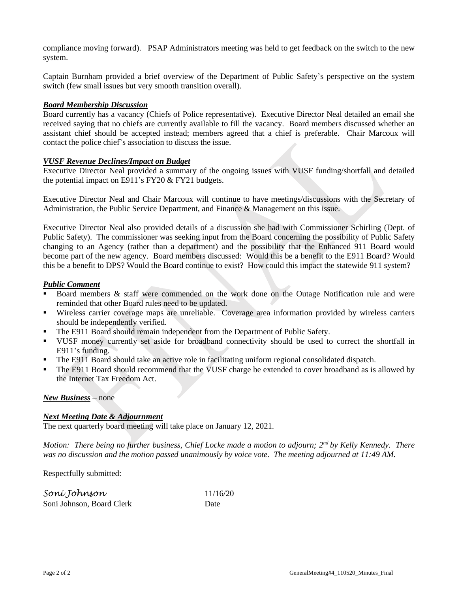compliance moving forward). PSAP Administrators meeting was held to get feedback on the switch to the new system.

Captain Burnham provided a brief overview of the Department of Public Safety's perspective on the system switch (few small issues but very smooth transition overall).

# *Board Membership Discussion*

Board currently has a vacancy (Chiefs of Police representative). Executive Director Neal detailed an email she received saying that no chiefs are currently available to fill the vacancy. Board members discussed whether an assistant chief should be accepted instead; members agreed that a chief is preferable. Chair Marcoux will contact the police chief's association to discuss the issue.

# *VUSF Revenue Declines/Impact on Budget*

Executive Director Neal provided a summary of the ongoing issues with VUSF funding/shortfall and detailed the potential impact on E911's FY20 & FY21 budgets.

Executive Director Neal and Chair Marcoux will continue to have meetings/discussions with the Secretary of Administration, the Public Service Department, and Finance & Management on this issue.

Executive Director Neal also provided details of a discussion she had with Commissioner Schirling (Dept. of Public Safety). The commissioner was seeking input from the Board concerning the possibility of Public Safety changing to an Agency (rather than a department) and the possibility that the Enhanced 911 Board would become part of the new agency. Board members discussed: Would this be a benefit to the E911 Board? Would this be a benefit to DPS? Would the Board continue to exist? How could this impact the statewide 911 system?

# *Public Comment*

- Board members  $\&$  staff were commended on the work done on the Outage Notification rule and were reminded that other Board rules need to be updated.
- Wireless carrier coverage maps are unreliable. Coverage area information provided by wireless carriers should be independently verified.
- **The E911 Board should remain independent from the Department of Public Safety.**
- VUSF money currently set aside for broadband connectivity should be used to correct the shortfall in E911's funding.
- **•** The E911 Board should take an active role in facilitating uniform regional consolidated dispatch.
- **•** The E911 Board should recommend that the VUSF charge be extended to cover broadband as is allowed by the Internet Tax Freedom Act.

# *New Business* – none

# *Next Meeting Date & Adjournment*

The next quarterly board meeting will take place on January 12, 2021.

*Motion: There being no further business, Chief Locke made a motion to adjourn; 2nd by Kelly Kennedy. There was no discussion and the motion passed unanimously by voice vote. The meeting adjourned at 11:49 AM.*

Respectfully submitted:

| Soní Johnson              | 11/16/20 |
|---------------------------|----------|
| Soni Johnson, Board Clerk | Date     |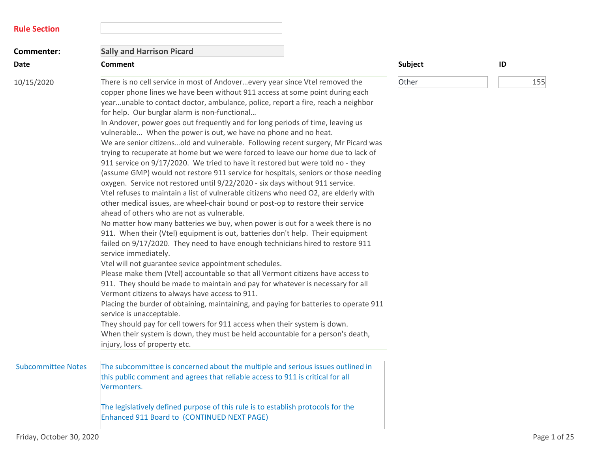| <b>Rule Section</b>       |                                                                                                                                                                                                                                                                                                                                                                                                                                                                                                                                                                                                                                                                                                                                                                                                                                                                                                                                                                                                                                                                                                                                                                                                                                                                                                                                                                                                                                                                                                                                                                                                                                                                                                                                                                                                                                                                                                                                                                                                    |         |              |
|---------------------------|----------------------------------------------------------------------------------------------------------------------------------------------------------------------------------------------------------------------------------------------------------------------------------------------------------------------------------------------------------------------------------------------------------------------------------------------------------------------------------------------------------------------------------------------------------------------------------------------------------------------------------------------------------------------------------------------------------------------------------------------------------------------------------------------------------------------------------------------------------------------------------------------------------------------------------------------------------------------------------------------------------------------------------------------------------------------------------------------------------------------------------------------------------------------------------------------------------------------------------------------------------------------------------------------------------------------------------------------------------------------------------------------------------------------------------------------------------------------------------------------------------------------------------------------------------------------------------------------------------------------------------------------------------------------------------------------------------------------------------------------------------------------------------------------------------------------------------------------------------------------------------------------------------------------------------------------------------------------------------------------------|---------|--------------|
| Commenter:                | <b>Sally and Harrison Picard</b>                                                                                                                                                                                                                                                                                                                                                                                                                                                                                                                                                                                                                                                                                                                                                                                                                                                                                                                                                                                                                                                                                                                                                                                                                                                                                                                                                                                                                                                                                                                                                                                                                                                                                                                                                                                                                                                                                                                                                                   |         |              |
| <b>Date</b>               | <b>Comment</b>                                                                                                                                                                                                                                                                                                                                                                                                                                                                                                                                                                                                                                                                                                                                                                                                                                                                                                                                                                                                                                                                                                                                                                                                                                                                                                                                                                                                                                                                                                                                                                                                                                                                                                                                                                                                                                                                                                                                                                                     | Subject | ID           |
| 10/15/2020                | There is no cell service in most of Andoverevery year since Vtel removed the<br>copper phone lines we have been without 911 access at some point during each<br>yearunable to contact doctor, ambulance, police, report a fire, reach a neighbor<br>for help. Our burglar alarm is non-functional<br>In Andover, power goes out frequently and for long periods of time, leaving us<br>vulnerable When the power is out, we have no phone and no heat.<br>We are senior citizensold and vulnerable. Following recent surgery, Mr Picard was<br>trying to recuperate at home but we were forced to leave our home due to lack of<br>911 service on 9/17/2020. We tried to have it restored but were told no - they<br>(assume GMP) would not restore 911 service for hospitals, seniors or those needing<br>oxygen. Service not restored until 9/22/2020 - six days without 911 service.<br>Vtel refuses to maintain a list of vulnerable citizens who need O2, are elderly with<br>other medical issues, are wheel-chair bound or post-op to restore their service<br>ahead of others who are not as vulnerable.<br>No matter how many batteries we buy, when power is out for a week there is no<br>911. When their (Vtel) equipment is out, batteries don't help. Their equipment<br>failed on 9/17/2020. They need to have enough technicians hired to restore 911<br>service immediately.<br>Vtel will not guarantee sevice appointment schedules.<br>Please make them (Vtel) accountable so that all Vermont citizens have access to<br>911. They should be made to maintain and pay for whatever is necessary for all<br>Vermont citizens to always have access to 911.<br>Placing the burder of obtaining, maintaining, and paying for batteries to operate 911<br>service is unacceptable.<br>They should pay for cell towers for 911 access when their system is down.<br>When their system is down, they must be held accountable for a person's death,<br>injury, loss of property etc. | Other   | 155          |
| <b>Subcommittee Notes</b> | The subcommittee is concerned about the multiple and serious issues outlined in<br>this public comment and agrees that reliable access to 911 is critical for all<br>Vermonters.                                                                                                                                                                                                                                                                                                                                                                                                                                                                                                                                                                                                                                                                                                                                                                                                                                                                                                                                                                                                                                                                                                                                                                                                                                                                                                                                                                                                                                                                                                                                                                                                                                                                                                                                                                                                                   |         |              |
|                           | The legislatively defined purpose of this rule is to establish protocols for the<br>Enhanced 911 Board to (CONTINUED NEXT PAGE)                                                                                                                                                                                                                                                                                                                                                                                                                                                                                                                                                                                                                                                                                                                                                                                                                                                                                                                                                                                                                                                                                                                                                                                                                                                                                                                                                                                                                                                                                                                                                                                                                                                                                                                                                                                                                                                                    |         |              |
| Friday, October 30, 2020  |                                                                                                                                                                                                                                                                                                                                                                                                                                                                                                                                                                                                                                                                                                                                                                                                                                                                                                                                                                                                                                                                                                                                                                                                                                                                                                                                                                                                                                                                                                                                                                                                                                                                                                                                                                                                                                                                                                                                                                                                    |         | Page 1 of 25 |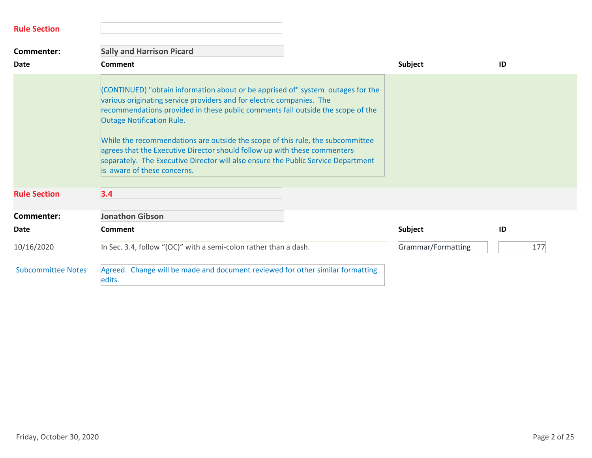| <b>Rule Section</b>       |                                                                                                                                                                                                                                                                                                                                                                                                                                                                                                                                                                    |                    |     |
|---------------------------|--------------------------------------------------------------------------------------------------------------------------------------------------------------------------------------------------------------------------------------------------------------------------------------------------------------------------------------------------------------------------------------------------------------------------------------------------------------------------------------------------------------------------------------------------------------------|--------------------|-----|
| Commenter:                | <b>Sally and Harrison Picard</b>                                                                                                                                                                                                                                                                                                                                                                                                                                                                                                                                   |                    |     |
| <b>Date</b>               | <b>Comment</b>                                                                                                                                                                                                                                                                                                                                                                                                                                                                                                                                                     | Subject            | ID  |
|                           | (CONTINUED) "obtain information about or be apprised of" system outages for the<br>various originating service providers and for electric companies. The<br>recommendations provided in these public comments fall outside the scope of the<br><b>Outage Notification Rule.</b><br>While the recommendations are outside the scope of this rule, the subcommittee<br>agrees that the Executive Director should follow up with these commenters<br>separately. The Executive Director will also ensure the Public Service Department<br>is aware of these concerns. |                    |     |
| <b>Rule Section</b>       | 3.4                                                                                                                                                                                                                                                                                                                                                                                                                                                                                                                                                                |                    |     |
| Commenter:                | <b>Jonathon Gibson</b>                                                                                                                                                                                                                                                                                                                                                                                                                                                                                                                                             |                    |     |
| Date                      | <b>Comment</b>                                                                                                                                                                                                                                                                                                                                                                                                                                                                                                                                                     | Subject            | ID  |
| 10/16/2020                | In Sec. 3.4, follow "(OC)" with a semi-colon rather than a dash.                                                                                                                                                                                                                                                                                                                                                                                                                                                                                                   | Grammar/Formatting | 177 |
| <b>Subcommittee Notes</b> | Agreed. Change will be made and document reviewed for other similar formatting<br>edits.                                                                                                                                                                                                                                                                                                                                                                                                                                                                           |                    |     |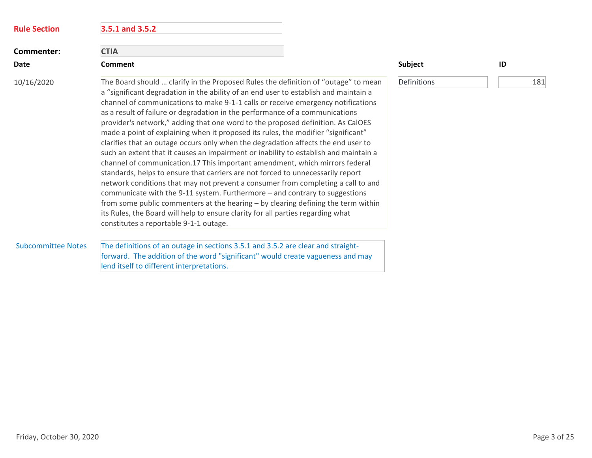| <b>Rule Section</b>       | 3.5.1 and 3.5.2                                                                                                                                                                                                                                                                                                                                                                                                                                                                                                                                                                                                                                                                                                                                                                                                                                                                                                                                                                                                                                                                                                                                                                                                                                            |             |     |
|---------------------------|------------------------------------------------------------------------------------------------------------------------------------------------------------------------------------------------------------------------------------------------------------------------------------------------------------------------------------------------------------------------------------------------------------------------------------------------------------------------------------------------------------------------------------------------------------------------------------------------------------------------------------------------------------------------------------------------------------------------------------------------------------------------------------------------------------------------------------------------------------------------------------------------------------------------------------------------------------------------------------------------------------------------------------------------------------------------------------------------------------------------------------------------------------------------------------------------------------------------------------------------------------|-------------|-----|
| Commenter:                | <b>CTIA</b>                                                                                                                                                                                                                                                                                                                                                                                                                                                                                                                                                                                                                                                                                                                                                                                                                                                                                                                                                                                                                                                                                                                                                                                                                                                |             |     |
| <b>Date</b>               | <b>Comment</b>                                                                                                                                                                                                                                                                                                                                                                                                                                                                                                                                                                                                                                                                                                                                                                                                                                                                                                                                                                                                                                                                                                                                                                                                                                             | Subject     | ID  |
| 10/16/2020                | The Board should  clarify in the Proposed Rules the definition of "outage" to mean<br>a "significant degradation in the ability of an end user to establish and maintain a<br>channel of communications to make 9-1-1 calls or receive emergency notifications<br>as a result of failure or degradation in the performance of a communications<br>provider's network," adding that one word to the proposed definition. As CalOES<br>made a point of explaining when it proposed its rules, the modifier "significant"<br>clarifies that an outage occurs only when the degradation affects the end user to<br>such an extent that it causes an impairment or inability to establish and maintain a<br>channel of communication.17 This important amendment, which mirrors federal<br>standards, helps to ensure that carriers are not forced to unnecessarily report<br>network conditions that may not prevent a consumer from completing a call to and<br>communicate with the 9-11 system. Furthermore - and contrary to suggestions<br>from some public commenters at the hearing - by clearing defining the term within<br>its Rules, the Board will help to ensure clarity for all parties regarding what<br>constitutes a reportable 9-1-1 outage. | Definitions | 181 |
| <b>Subcommittee Notes</b> | The definitions of an outage in sections 3.5.1 and 3.5.2 are clear and straight-<br>forward. The addition of the word "significant" would create vagueness and may<br>lend itself to different interpretations.                                                                                                                                                                                                                                                                                                                                                                                                                                                                                                                                                                                                                                                                                                                                                                                                                                                                                                                                                                                                                                            |             |     |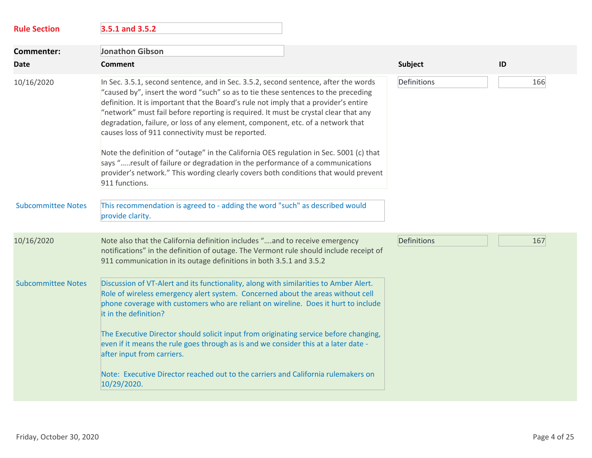| <b>Rule Section</b>       | 3.5.1 and 3.5.2                                                                                                                                                                                                                                                                                                                                                                                                                                                                                                                                                                                                                                                                                                                                                                     |             |     |
|---------------------------|-------------------------------------------------------------------------------------------------------------------------------------------------------------------------------------------------------------------------------------------------------------------------------------------------------------------------------------------------------------------------------------------------------------------------------------------------------------------------------------------------------------------------------------------------------------------------------------------------------------------------------------------------------------------------------------------------------------------------------------------------------------------------------------|-------------|-----|
| <b>Commenter:</b>         | <b>Jonathon Gibson</b>                                                                                                                                                                                                                                                                                                                                                                                                                                                                                                                                                                                                                                                                                                                                                              |             |     |
| Date                      | <b>Comment</b>                                                                                                                                                                                                                                                                                                                                                                                                                                                                                                                                                                                                                                                                                                                                                                      | Subject     | ID  |
| 10/16/2020                | In Sec. 3.5.1, second sentence, and in Sec. 3.5.2, second sentence, after the words<br>"caused by", insert the word "such" so as to tie these sentences to the preceding<br>definition. It is important that the Board's rule not imply that a provider's entire<br>"network" must fail before reporting is required. It must be crystal clear that any<br>degradation, failure, or loss of any element, component, etc. of a network that<br>causes loss of 911 connectivity must be reported.<br>Note the definition of "outage" in the California OES regulation in Sec. 5001 (c) that<br>says "result of failure or degradation in the performance of a communications<br>provider's network." This wording clearly covers both conditions that would prevent<br>911 functions. | Definitions | 166 |
| <b>Subcommittee Notes</b> | This recommendation is agreed to - adding the word "such" as described would<br>provide clarity.                                                                                                                                                                                                                                                                                                                                                                                                                                                                                                                                                                                                                                                                                    |             |     |
| 10/16/2020                | Note also that the California definition includes "and to receive emergency<br>notifications" in the definition of outage. The Vermont rule should include receipt of<br>911 communication in its outage definitions in both 3.5.1 and 3.5.2                                                                                                                                                                                                                                                                                                                                                                                                                                                                                                                                        | Definitions | 167 |
| <b>Subcommittee Notes</b> | Discussion of VT-Alert and its functionality, along with similarities to Amber Alert.<br>Role of wireless emergency alert system. Concerned about the areas without cell<br>phone coverage with customers who are reliant on wireline. Does it hurt to include<br>it in the definition?<br>The Executive Director should solicit input from originating service before changing,<br>even if it means the rule goes through as is and we consider this at a later date -<br>after input from carriers.                                                                                                                                                                                                                                                                               |             |     |
|                           | Note: Executive Director reached out to the carriers and California rulemakers on<br>10/29/2020.                                                                                                                                                                                                                                                                                                                                                                                                                                                                                                                                                                                                                                                                                    |             |     |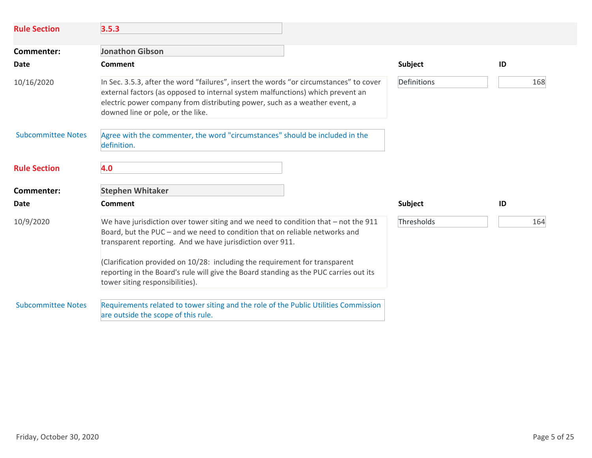| <b>Rule Section</b>       | 3.5.3                                                                                                                                                                                                                                                                                                                                                                                                                                     |             |     |
|---------------------------|-------------------------------------------------------------------------------------------------------------------------------------------------------------------------------------------------------------------------------------------------------------------------------------------------------------------------------------------------------------------------------------------------------------------------------------------|-------------|-----|
| Commenter:                | <b>Jonathon Gibson</b>                                                                                                                                                                                                                                                                                                                                                                                                                    |             |     |
| Date                      | Comment                                                                                                                                                                                                                                                                                                                                                                                                                                   | Subject     | ID  |
| 10/16/2020                | In Sec. 3.5.3, after the word "failures", insert the words "or circumstances" to cover<br>external factors (as opposed to internal system malfunctions) which prevent an<br>electric power company from distributing power, such as a weather event, a<br>downed line or pole, or the like.                                                                                                                                               | Definitions | 168 |
| <b>Subcommittee Notes</b> | Agree with the commenter, the word "circumstances" should be included in the<br>definition.                                                                                                                                                                                                                                                                                                                                               |             |     |
| <b>Rule Section</b>       | 4.0                                                                                                                                                                                                                                                                                                                                                                                                                                       |             |     |
| Commenter:                | <b>Stephen Whitaker</b>                                                                                                                                                                                                                                                                                                                                                                                                                   |             |     |
| Date                      | Comment                                                                                                                                                                                                                                                                                                                                                                                                                                   | Subject     | ID  |
| 10/9/2020                 | We have jurisdiction over tower siting and we need to condition that - not the 911<br>Board, but the PUC - and we need to condition that on reliable networks and<br>transparent reporting. And we have jurisdiction over 911.<br>(Clarification provided on 10/28: including the requirement for transparent<br>reporting in the Board's rule will give the Board standing as the PUC carries out its<br>tower siting responsibilities). | Thresholds  | 164 |
| <b>Subcommittee Notes</b> | Requirements related to tower siting and the role of the Public Utilities Commission<br>are outside the scope of this rule.                                                                                                                                                                                                                                                                                                               |             |     |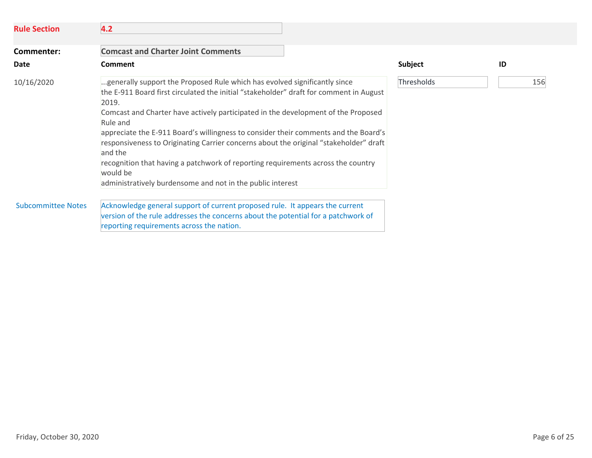| <b>Rule Section</b>       | 4.2                                                                                                                                                                                                                                                                                                                                                                                                                                                                                                                                                                                                                                    |                |     |
|---------------------------|----------------------------------------------------------------------------------------------------------------------------------------------------------------------------------------------------------------------------------------------------------------------------------------------------------------------------------------------------------------------------------------------------------------------------------------------------------------------------------------------------------------------------------------------------------------------------------------------------------------------------------------|----------------|-----|
| Commenter:                | <b>Comcast and Charter Joint Comments</b>                                                                                                                                                                                                                                                                                                                                                                                                                                                                                                                                                                                              |                |     |
| Date                      | <b>Comment</b>                                                                                                                                                                                                                                                                                                                                                                                                                                                                                                                                                                                                                         | <b>Subject</b> | ID  |
| 10/16/2020                | generally support the Proposed Rule which has evolved significantly since<br>the E-911 Board first circulated the initial "stakeholder" draft for comment in August<br>2019.<br>Comcast and Charter have actively participated in the development of the Proposed<br>Rule and<br>appreciate the E-911 Board's willingness to consider their comments and the Board's<br>responsiveness to Originating Carrier concerns about the original "stakeholder" draft<br>and the<br>recognition that having a patchwork of reporting requirements across the country<br>would be<br>administratively burdensome and not in the public interest | Thresholds     | 156 |
| <b>Subcommittee Notes</b> | Acknowledge general support of current proposed rule. It appears the current<br>version of the rule addresses the concerns about the potential for a patchwork of<br>reporting requirements across the nation.                                                                                                                                                                                                                                                                                                                                                                                                                         |                |     |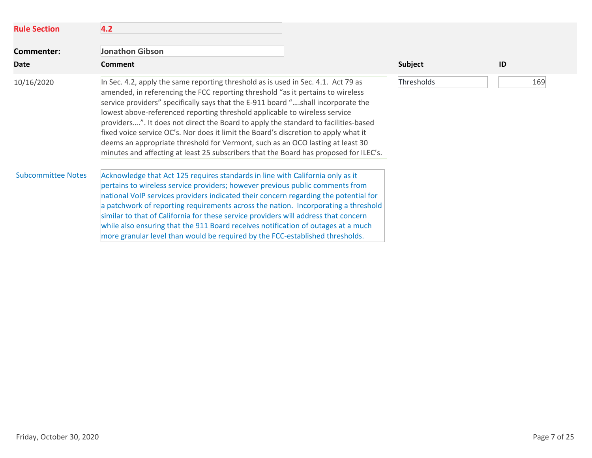| <b>Rule Section</b>       | 4.2                                                                                                                                                                                                                                                                                                                                                                                                                                                                                                                                                                                                                                                                                            |            |     |
|---------------------------|------------------------------------------------------------------------------------------------------------------------------------------------------------------------------------------------------------------------------------------------------------------------------------------------------------------------------------------------------------------------------------------------------------------------------------------------------------------------------------------------------------------------------------------------------------------------------------------------------------------------------------------------------------------------------------------------|------------|-----|
| <b>Commenter:</b>         | <b>Jonathon Gibson</b>                                                                                                                                                                                                                                                                                                                                                                                                                                                                                                                                                                                                                                                                         |            |     |
| Date                      | <b>Comment</b>                                                                                                                                                                                                                                                                                                                                                                                                                                                                                                                                                                                                                                                                                 | Subject    | ID  |
| 10/16/2020                | In Sec. 4.2, apply the same reporting threshold as is used in Sec. 4.1. Act 79 as<br>amended, in referencing the FCC reporting threshold "as it pertains to wireless<br>service providers" specifically says that the E-911 board "shall incorporate the<br>lowest above-referenced reporting threshold applicable to wireless service<br>providers". It does not direct the Board to apply the standard to facilities-based<br>fixed voice service OC's. Nor does it limit the Board's discretion to apply what it<br>deems an appropriate threshold for Vermont, such as an OCO lasting at least 30<br>minutes and affecting at least 25 subscribers that the Board has proposed for ILEC's. | Thresholds | 169 |
| <b>Subcommittee Notes</b> | Acknowledge that Act 125 requires standards in line with California only as it<br>pertains to wireless service providers; however previous public comments from<br>national VoIP services providers indicated their concern regarding the potential for<br>a patchwork of reporting requirements across the nation. Incorporating a threshold<br>similar to that of California for these service providers will address that concern<br>while also ensuring that the 911 Board receives notification of outages at a much<br>more granular level than would be required by the FCC-established thresholds.                                                                                     |            |     |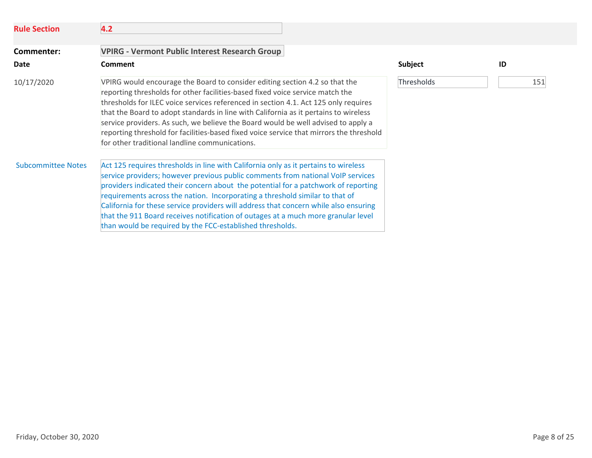| <b>Rule Section</b>       | 4.2                                                                                                                                                                                                                                                                                                                                                                                                                                                                                                                                                                                    |            |     |
|---------------------------|----------------------------------------------------------------------------------------------------------------------------------------------------------------------------------------------------------------------------------------------------------------------------------------------------------------------------------------------------------------------------------------------------------------------------------------------------------------------------------------------------------------------------------------------------------------------------------------|------------|-----|
| Commenter:                | <b>VPIRG - Vermont Public Interest Research Group</b>                                                                                                                                                                                                                                                                                                                                                                                                                                                                                                                                  |            |     |
| Date                      | <b>Comment</b>                                                                                                                                                                                                                                                                                                                                                                                                                                                                                                                                                                         | Subject    | ID  |
| 10/17/2020                | VPIRG would encourage the Board to consider editing section 4.2 so that the<br>reporting thresholds for other facilities-based fixed voice service match the<br>thresholds for ILEC voice services referenced in section 4.1. Act 125 only requires<br>that the Board to adopt standards in line with California as it pertains to wireless<br>service providers. As such, we believe the Board would be well advised to apply a<br>reporting threshold for facilities-based fixed voice service that mirrors the threshold<br>for other traditional landline communications.          | Thresholds | 151 |
| <b>Subcommittee Notes</b> | Act 125 requires thresholds in line with California only as it pertains to wireless<br>service providers; however previous public comments from national VoIP services<br>providers indicated their concern about the potential for a patchwork of reporting<br>requirements across the nation. Incorporating a threshold similar to that of<br>California for these service providers will address that concern while also ensuring<br>that the 911 Board receives notification of outages at a much more granular level<br>than would be required by the FCC-established thresholds. |            |     |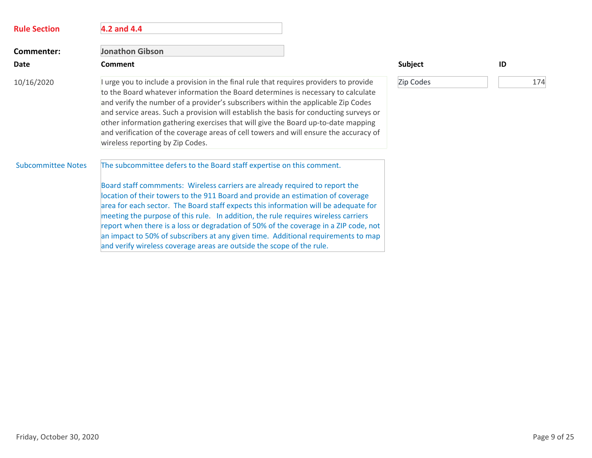| <b>Rule Section</b>       | 4.2 and 4.4                                                                                                                                                                                                                                                                                                                                                                                                                                                                                                                                                                                                                                                                |                |     |
|---------------------------|----------------------------------------------------------------------------------------------------------------------------------------------------------------------------------------------------------------------------------------------------------------------------------------------------------------------------------------------------------------------------------------------------------------------------------------------------------------------------------------------------------------------------------------------------------------------------------------------------------------------------------------------------------------------------|----------------|-----|
| Commenter:                | <b>Jonathon Gibson</b>                                                                                                                                                                                                                                                                                                                                                                                                                                                                                                                                                                                                                                                     |                |     |
| <b>Date</b>               | <b>Comment</b>                                                                                                                                                                                                                                                                                                                                                                                                                                                                                                                                                                                                                                                             | <b>Subject</b> | ID  |
| 10/16/2020                | I urge you to include a provision in the final rule that requires providers to provide<br>to the Board whatever information the Board determines is necessary to calculate<br>and verify the number of a provider's subscribers within the applicable Zip Codes<br>and service areas. Such a provision will establish the basis for conducting surveys or<br>other information gathering exercises that will give the Board up-to-date mapping<br>and verification of the coverage areas of cell towers and will ensure the accuracy of<br>wireless reporting by Zip Codes.                                                                                                | Zip Codes      | 174 |
| <b>Subcommittee Notes</b> | The subcommittee defers to the Board staff expertise on this comment.<br>Board staff commments: Wireless carriers are already required to report the<br>location of their towers to the 911 Board and provide an estimation of coverage<br>area for each sector. The Board staff expects this information will be adequate for<br>meeting the purpose of this rule. In addition, the rule requires wireless carriers<br>report when there is a loss or degradation of 50% of the coverage in a ZIP code, not<br>an impact to 50% of subscribers at any given time. Additional requirements to map<br>and verify wireless coverage areas are outside the scope of the rule. |                |     |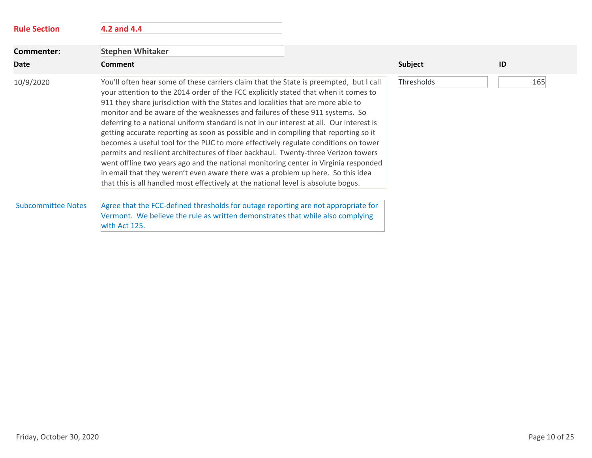| <b>Rule Section</b>       | 4.2 and 4.4                                                                                                                                                                                                                                                                                                                                                                                                                                                                                                                                                                                                                                                                                                                                                                                                                                                                                                                                                                      |                   |
|---------------------------|----------------------------------------------------------------------------------------------------------------------------------------------------------------------------------------------------------------------------------------------------------------------------------------------------------------------------------------------------------------------------------------------------------------------------------------------------------------------------------------------------------------------------------------------------------------------------------------------------------------------------------------------------------------------------------------------------------------------------------------------------------------------------------------------------------------------------------------------------------------------------------------------------------------------------------------------------------------------------------|-------------------|
| <b>Commenter:</b>         | <b>Stephen Whitaker</b>                                                                                                                                                                                                                                                                                                                                                                                                                                                                                                                                                                                                                                                                                                                                                                                                                                                                                                                                                          |                   |
| <b>Date</b>               | <b>Comment</b>                                                                                                                                                                                                                                                                                                                                                                                                                                                                                                                                                                                                                                                                                                                                                                                                                                                                                                                                                                   | Subject<br>ID     |
| 10/9/2020                 | You'll often hear some of these carriers claim that the State is preempted, but I call<br>your attention to the 2014 order of the FCC explicitly stated that when it comes to<br>911 they share jurisdiction with the States and localities that are more able to<br>monitor and be aware of the weaknesses and failures of these 911 systems. So<br>deferring to a national uniform standard is not in our interest at all. Our interest is<br>getting accurate reporting as soon as possible and in compiling that reporting so it<br>becomes a useful tool for the PUC to more effectively regulate conditions on tower<br>permits and resilient architectures of fiber backhaul. Twenty-three Verizon towers<br>went offline two years ago and the national monitoring center in Virginia responded<br>in email that they weren't even aware there was a problem up here. So this idea<br>that this is all handled most effectively at the national level is absolute bogus. | Thresholds<br>165 |
| <b>Subcommittee Notes</b> | Agree that the FCC-defined thresholds for outage reporting are not appropriate for<br>Vermont. We believe the rule as written demonstrates that while also complying<br>with Act 125.                                                                                                                                                                                                                                                                                                                                                                                                                                                                                                                                                                                                                                                                                                                                                                                            |                   |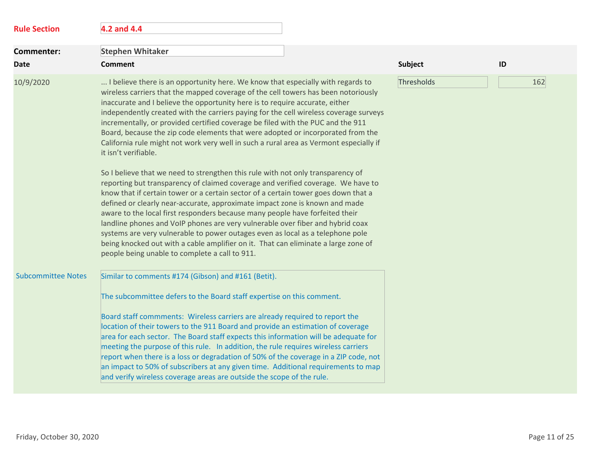| <b>Rule Section</b>       | 4.2 and 4.4                                                                                                                                                                                                                                                                                                                                                                                                                                                                                                                                                                                                                                                                                                                          |            |     |
|---------------------------|--------------------------------------------------------------------------------------------------------------------------------------------------------------------------------------------------------------------------------------------------------------------------------------------------------------------------------------------------------------------------------------------------------------------------------------------------------------------------------------------------------------------------------------------------------------------------------------------------------------------------------------------------------------------------------------------------------------------------------------|------------|-----|
| <b>Commenter:</b>         | <b>Stephen Whitaker</b>                                                                                                                                                                                                                                                                                                                                                                                                                                                                                                                                                                                                                                                                                                              |            |     |
| <b>Date</b>               | <b>Comment</b>                                                                                                                                                                                                                                                                                                                                                                                                                                                                                                                                                                                                                                                                                                                       | Subject    | ID  |
| 10/9/2020                 | I believe there is an opportunity here. We know that especially with regards to<br>wireless carriers that the mapped coverage of the cell towers has been notoriously<br>inaccurate and I believe the opportunity here is to require accurate, either<br>independently created with the carriers paying for the cell wireless coverage surveys<br>incrementally, or provided certified coverage be filed with the PUC and the 911<br>Board, because the zip code elements that were adopted or incorporated from the<br>California rule might not work very well in such a rural area as Vermont especially if<br>it isn't verifiable.                                                                                               | Thresholds | 162 |
|                           | So I believe that we need to strengthen this rule with not only transparency of<br>reporting but transparency of claimed coverage and verified coverage. We have to<br>know that if certain tower or a certain sector of a certain tower goes down that a<br>defined or clearly near-accurate, approximate impact zone is known and made<br>aware to the local first responders because many people have forfeited their<br>landline phones and VoIP phones are very vulnerable over fiber and hybrid coax<br>systems are very vulnerable to power outages even as local as a telephone pole<br>being knocked out with a cable amplifier on it. That can eliminate a large zone of<br>people being unable to complete a call to 911. |            |     |
| <b>Subcommittee Notes</b> | Similar to comments #174 (Gibson) and #161 (Betit).                                                                                                                                                                                                                                                                                                                                                                                                                                                                                                                                                                                                                                                                                  |            |     |
|                           | The subcommittee defers to the Board staff expertise on this comment.                                                                                                                                                                                                                                                                                                                                                                                                                                                                                                                                                                                                                                                                |            |     |
|                           | Board staff commments: Wireless carriers are already required to report the<br>location of their towers to the 911 Board and provide an estimation of coverage<br>area for each sector. The Board staff expects this information will be adequate for<br>meeting the purpose of this rule. In addition, the rule requires wireless carriers<br>report when there is a loss or degradation of 50% of the coverage in a ZIP code, not<br>an impact to 50% of subscribers at any given time. Additional requirements to map<br>and verify wireless coverage areas are outside the scope of the rule.                                                                                                                                    |            |     |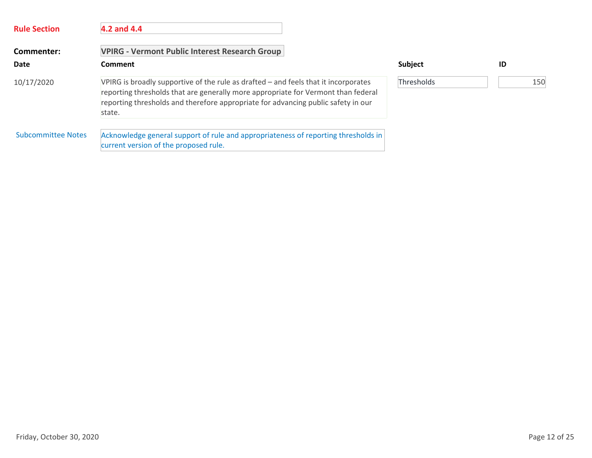| <b>Rule Section</b> | 4.2 and 4.4                                                                                                                                                                                                                                                             |            |     |
|---------------------|-------------------------------------------------------------------------------------------------------------------------------------------------------------------------------------------------------------------------------------------------------------------------|------------|-----|
| Commenter:          | <b>VPIRG - Vermont Public Interest Research Group</b>                                                                                                                                                                                                                   |            |     |
| Date                | Comment                                                                                                                                                                                                                                                                 | Subject    | ID  |
| 10/17/2020          | VPIRG is broadly supportive of the rule as drafted – and feels that it incorporates<br>reporting thresholds that are generally more appropriate for Vermont than federal<br>reporting thresholds and therefore appropriate for advancing public safety in our<br>state. | Thresholds | 150 |
| Subcommittee Notes  | Acknowledge general support of rule and appropriateness of reporting thresholds in<br>current version of the proposed rule.                                                                                                                                             |            |     |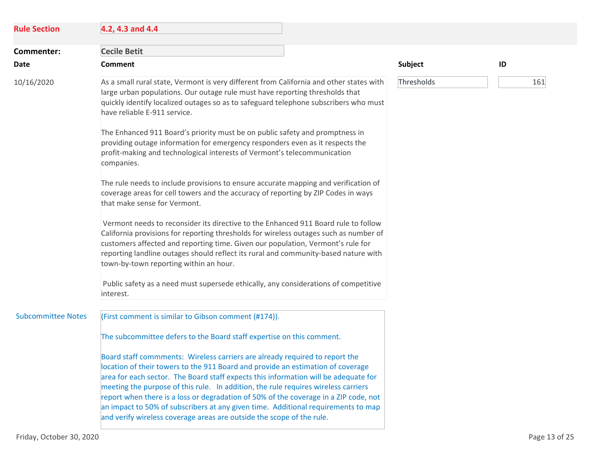| <b>Rule Section</b>       | 4.2, 4.3 and 4.4                                                                                                                                                                                                                                                                                                                                                                                                                                                                                                                                                                                  |            |     |
|---------------------------|---------------------------------------------------------------------------------------------------------------------------------------------------------------------------------------------------------------------------------------------------------------------------------------------------------------------------------------------------------------------------------------------------------------------------------------------------------------------------------------------------------------------------------------------------------------------------------------------------|------------|-----|
| Commenter:                | <b>Cecile Betit</b>                                                                                                                                                                                                                                                                                                                                                                                                                                                                                                                                                                               |            |     |
| Date                      | <b>Comment</b>                                                                                                                                                                                                                                                                                                                                                                                                                                                                                                                                                                                    | Subject    | ID  |
| 10/16/2020                | As a small rural state, Vermont is very different from California and other states with<br>large urban populations. Our outage rule must have reporting thresholds that<br>quickly identify localized outages so as to safeguard telephone subscribers who must<br>have reliable E-911 service.                                                                                                                                                                                                                                                                                                   | Thresholds | 161 |
|                           | The Enhanced 911 Board's priority must be on public safety and promptness in<br>providing outage information for emergency responders even as it respects the<br>profit-making and technological interests of Vermont's telecommunication<br>companies.                                                                                                                                                                                                                                                                                                                                           |            |     |
|                           | The rule needs to include provisions to ensure accurate mapping and verification of<br>coverage areas for cell towers and the accuracy of reporting by ZIP Codes in ways<br>that make sense for Vermont.                                                                                                                                                                                                                                                                                                                                                                                          |            |     |
|                           | Vermont needs to reconsider its directive to the Enhanced 911 Board rule to follow<br>California provisions for reporting thresholds for wireless outages such as number of<br>customers affected and reporting time. Given our population, Vermont's rule for<br>reporting landline outages should reflect its rural and community-based nature with<br>town-by-town reporting within an hour.                                                                                                                                                                                                   |            |     |
|                           | Public safety as a need must supersede ethically, any considerations of competitive<br>interest.                                                                                                                                                                                                                                                                                                                                                                                                                                                                                                  |            |     |
| <b>Subcommittee Notes</b> | (First comment is similar to Gibson comment (#174)).                                                                                                                                                                                                                                                                                                                                                                                                                                                                                                                                              |            |     |
|                           | The subcommittee defers to the Board staff expertise on this comment.                                                                                                                                                                                                                                                                                                                                                                                                                                                                                                                             |            |     |
|                           | Board staff commments: Wireless carriers are already required to report the<br>location of their towers to the 911 Board and provide an estimation of coverage<br>area for each sector. The Board staff expects this information will be adequate for<br>meeting the purpose of this rule. In addition, the rule requires wireless carriers<br>report when there is a loss or degradation of 50% of the coverage in a ZIP code, not<br>an impact to 50% of subscribers at any given time. Additional requirements to map<br>and verify wireless coverage areas are outside the scope of the rule. |            |     |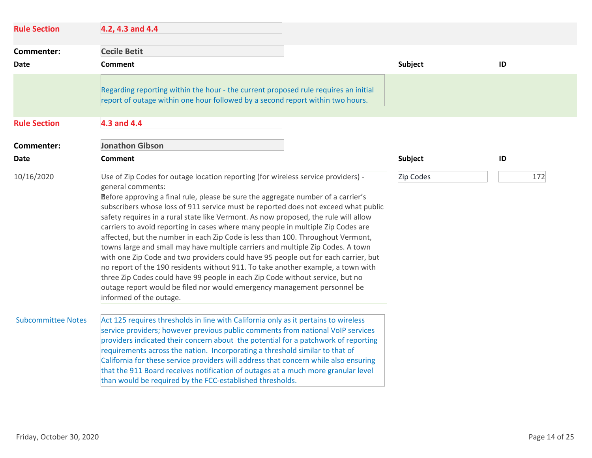| <b>Rule Section</b>       | 4.2, 4.3 and 4.4                                                                                                                                                                                                                                                                                                                                                                                                                                                                                                                                                                                                                                                                                                                                                                                                                                                                                                                                                                                     |                |     |
|---------------------------|------------------------------------------------------------------------------------------------------------------------------------------------------------------------------------------------------------------------------------------------------------------------------------------------------------------------------------------------------------------------------------------------------------------------------------------------------------------------------------------------------------------------------------------------------------------------------------------------------------------------------------------------------------------------------------------------------------------------------------------------------------------------------------------------------------------------------------------------------------------------------------------------------------------------------------------------------------------------------------------------------|----------------|-----|
| Commenter:                | <b>Cecile Betit</b>                                                                                                                                                                                                                                                                                                                                                                                                                                                                                                                                                                                                                                                                                                                                                                                                                                                                                                                                                                                  |                |     |
| Date                      | <b>Comment</b>                                                                                                                                                                                                                                                                                                                                                                                                                                                                                                                                                                                                                                                                                                                                                                                                                                                                                                                                                                                       | <b>Subject</b> | ID  |
|                           | Regarding reporting within the hour - the current proposed rule requires an initial<br>report of outage within one hour followed by a second report within two hours.                                                                                                                                                                                                                                                                                                                                                                                                                                                                                                                                                                                                                                                                                                                                                                                                                                |                |     |
| <b>Rule Section</b>       | 4.3 and 4.4                                                                                                                                                                                                                                                                                                                                                                                                                                                                                                                                                                                                                                                                                                                                                                                                                                                                                                                                                                                          |                |     |
| Commenter:                | <b>Jonathon Gibson</b>                                                                                                                                                                                                                                                                                                                                                                                                                                                                                                                                                                                                                                                                                                                                                                                                                                                                                                                                                                               |                |     |
| Date                      | <b>Comment</b>                                                                                                                                                                                                                                                                                                                                                                                                                                                                                                                                                                                                                                                                                                                                                                                                                                                                                                                                                                                       | <b>Subject</b> | ID  |
| 10/16/2020                | Use of Zip Codes for outage location reporting (for wireless service providers) -<br>general comments:<br>Before approving a final rule, please be sure the aggregate number of a carrier's<br>subscribers whose loss of 911 service must be reported does not exceed what public<br>safety requires in a rural state like Vermont. As now proposed, the rule will allow<br>carriers to avoid reporting in cases where many people in multiple Zip Codes are<br>affected, but the number in each Zip Code is less than 100. Throughout Vermont,<br>towns large and small may have multiple carriers and multiple Zip Codes. A town<br>with one Zip Code and two providers could have 95 people out for each carrier, but<br>no report of the 190 residents without 911. To take another example, a town with<br>three Zip Codes could have 99 people in each Zip Code without service, but no<br>outage report would be filed nor would emergency management personnel be<br>informed of the outage. | Zip Codes      | 172 |
| <b>Subcommittee Notes</b> | Act 125 requires thresholds in line with California only as it pertains to wireless<br>service providers; however previous public comments from national VoIP services<br>providers indicated their concern about the potential for a patchwork of reporting<br>requirements across the nation. Incorporating a threshold similar to that of<br>California for these service providers will address that concern while also ensuring<br>that the 911 Board receives notification of outages at a much more granular level<br>than would be required by the FCC-established thresholds.                                                                                                                                                                                                                                                                                                                                                                                                               |                |     |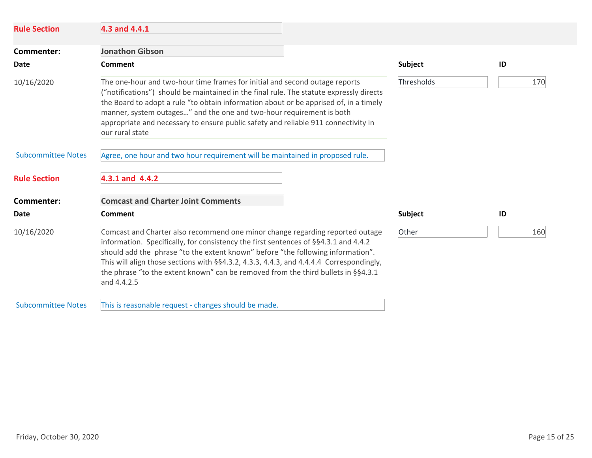| <b>Rule Section</b>       | 4.3 and 4.4.1                                                                                                                                                                                                                                                                                                                                                                                                                                              |            |     |
|---------------------------|------------------------------------------------------------------------------------------------------------------------------------------------------------------------------------------------------------------------------------------------------------------------------------------------------------------------------------------------------------------------------------------------------------------------------------------------------------|------------|-----|
| Commenter:                | <b>Jonathon Gibson</b>                                                                                                                                                                                                                                                                                                                                                                                                                                     |            |     |
| Date                      | <b>Comment</b>                                                                                                                                                                                                                                                                                                                                                                                                                                             | Subject    | ID  |
| 10/16/2020                | The one-hour and two-hour time frames for initial and second outage reports<br>("notifications") should be maintained in the final rule. The statute expressly directs<br>the Board to adopt a rule "to obtain information about or be apprised of, in a timely<br>manner, system outages" and the one and two-hour requirement is both<br>appropriate and necessary to ensure public safety and reliable 911 connectivity in<br>our rural state           | Thresholds | 170 |
| <b>Subcommittee Notes</b> | Agree, one hour and two hour requirement will be maintained in proposed rule.                                                                                                                                                                                                                                                                                                                                                                              |            |     |
| <b>Rule Section</b>       | 4.3.1 and 4.4.2                                                                                                                                                                                                                                                                                                                                                                                                                                            |            |     |
| Commenter:                | <b>Comcast and Charter Joint Comments</b>                                                                                                                                                                                                                                                                                                                                                                                                                  |            |     |
| Date                      | <b>Comment</b>                                                                                                                                                                                                                                                                                                                                                                                                                                             | Subject    | ID  |
| 10/16/2020                | Comcast and Charter also recommend one minor change regarding reported outage<br>information. Specifically, for consistency the first sentences of §§4.3.1 and 4.4.2<br>should add the phrase "to the extent known" before "the following information".<br>This will align those sections with $\S$ §4.3.2, 4.3.3, 4.4.3, and 4.4.4.4 Correspondingly,<br>the phrase "to the extent known" can be removed from the third bullets in §§4.3.1<br>and 4.4.2.5 |            | 160 |
| <b>Subcommittee Notes</b> | This is reasonable request - changes should be made.                                                                                                                                                                                                                                                                                                                                                                                                       |            |     |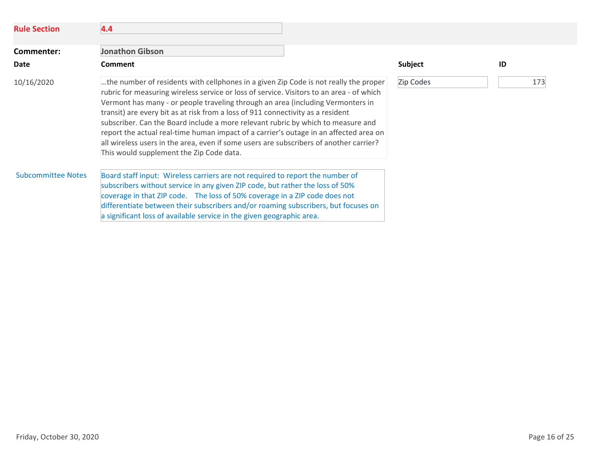| <b>Rule Section</b>       | 4.4                                                                                                                                                                                                                                                                                                                                                                                                                                                                                                                                                                                                                                                                       |           |     |
|---------------------------|---------------------------------------------------------------------------------------------------------------------------------------------------------------------------------------------------------------------------------------------------------------------------------------------------------------------------------------------------------------------------------------------------------------------------------------------------------------------------------------------------------------------------------------------------------------------------------------------------------------------------------------------------------------------------|-----------|-----|
| Commenter:                | <b>Jonathon Gibson</b>                                                                                                                                                                                                                                                                                                                                                                                                                                                                                                                                                                                                                                                    |           |     |
| <b>Date</b>               | <b>Comment</b>                                                                                                                                                                                                                                                                                                                                                                                                                                                                                                                                                                                                                                                            | Subject   | ID  |
| 10/16/2020                | the number of residents with cellphones in a given Zip Code is not really the proper<br>rubric for measuring wireless service or loss of service. Visitors to an area - of which<br>Vermont has many - or people traveling through an area (including Vermonters in<br>transit) are every bit as at risk from a loss of 911 connectivity as a resident<br>subscriber. Can the Board include a more relevant rubric by which to measure and<br>report the actual real-time human impact of a carrier's outage in an affected area on<br>all wireless users in the area, even if some users are subscribers of another carrier?<br>This would supplement the Zip Code data. | Zip Codes | 173 |
| <b>Subcommittee Notes</b> | Board staff input: Wireless carriers are not required to report the number of<br>subscribers without service in any given ZIP code, but rather the loss of 50%<br>coverage in that ZIP code. The loss of 50% coverage in a ZIP code does not<br>differentiate between their subscribers and/or roaming subscribers, but focuses on<br>a significant loss of available service in the given geographic area.                                                                                                                                                                                                                                                               |           |     |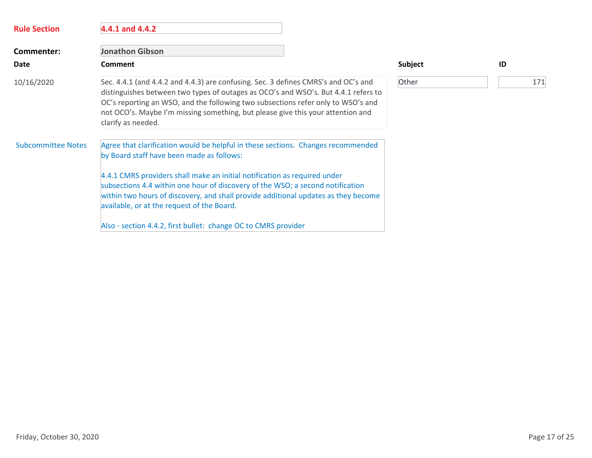| <b>Rule Section</b>       | 4.4.1 and 4.4.2                                                                                                                                                                                                                                                                                                                                                                                                                  |         |     |
|---------------------------|----------------------------------------------------------------------------------------------------------------------------------------------------------------------------------------------------------------------------------------------------------------------------------------------------------------------------------------------------------------------------------------------------------------------------------|---------|-----|
| Commenter:                | <b>Jonathon Gibson</b>                                                                                                                                                                                                                                                                                                                                                                                                           |         |     |
| Date                      | <b>Comment</b>                                                                                                                                                                                                                                                                                                                                                                                                                   | Subject | ID  |
| 10/16/2020                | Sec. 4.4.1 (and 4.4.2 and 4.4.3) are confusing. Sec. 3 defines CMRS's and OC's and<br>distinguishes between two types of outages as OCO's and WSO's. But 4.4.1 refers to<br>OC's reporting an WSO, and the following two subsections refer only to WSO's and<br>not OCO's. Maybe I'm missing something, but please give this your attention and<br>clarify as needed.                                                            | Other   | 171 |
| <b>Subcommittee Notes</b> | Agree that clarification would be helpful in these sections. Changes recommended<br>by Board staff have been made as follows:<br>4.4.1 CMRS providers shall make an initial notification as required under<br>subsections 4.4 within one hour of discovery of the WSO; a second notification<br>within two hours of discovery, and shall provide additional updates as they become<br>available, or at the request of the Board. |         |     |
|                           | Also - section 4.4.2, first bullet: change OC to CMRS provider                                                                                                                                                                                                                                                                                                                                                                   |         |     |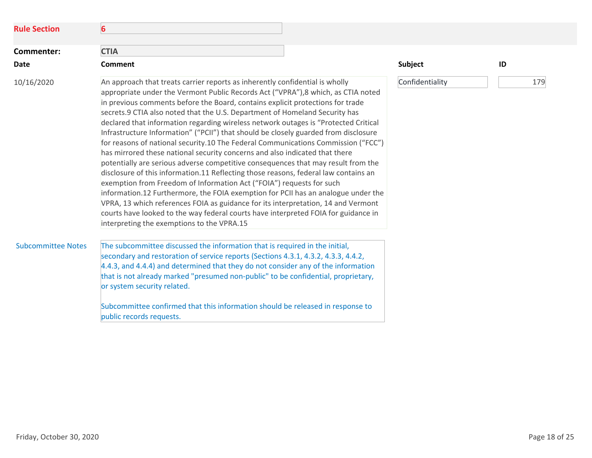| <b>Rule Section</b>       | 6                                                                                                                                                                                                                                                                                                                                                                                                                                                                                                                                                                                                                                                                                                                                                                                                                                                                                                                                                                                                                                                                                                                                                                                                                                                      |                 |     |
|---------------------------|--------------------------------------------------------------------------------------------------------------------------------------------------------------------------------------------------------------------------------------------------------------------------------------------------------------------------------------------------------------------------------------------------------------------------------------------------------------------------------------------------------------------------------------------------------------------------------------------------------------------------------------------------------------------------------------------------------------------------------------------------------------------------------------------------------------------------------------------------------------------------------------------------------------------------------------------------------------------------------------------------------------------------------------------------------------------------------------------------------------------------------------------------------------------------------------------------------------------------------------------------------|-----------------|-----|
| Commenter:                | <b>CTIA</b>                                                                                                                                                                                                                                                                                                                                                                                                                                                                                                                                                                                                                                                                                                                                                                                                                                                                                                                                                                                                                                                                                                                                                                                                                                            |                 |     |
| Date                      | <b>Comment</b>                                                                                                                                                                                                                                                                                                                                                                                                                                                                                                                                                                                                                                                                                                                                                                                                                                                                                                                                                                                                                                                                                                                                                                                                                                         | Subject         | ID  |
| 10/16/2020                | An approach that treats carrier reports as inherently confidential is wholly<br>appropriate under the Vermont Public Records Act ("VPRA"), 8 which, as CTIA noted<br>in previous comments before the Board, contains explicit protections for trade<br>secrets.9 CTIA also noted that the U.S. Department of Homeland Security has<br>declared that information regarding wireless network outages is "Protected Critical<br>Infrastructure Information" ("PCII") that should be closely guarded from disclosure<br>for reasons of national security.10 The Federal Communications Commission ("FCC")<br>has mirrored these national security concerns and also indicated that there<br>potentially are serious adverse competitive consequences that may result from the<br>disclosure of this information.11 Reflecting those reasons, federal law contains an<br>exemption from Freedom of Information Act ("FOIA") requests for such<br>information.12 Furthermore, the FOIA exemption for PCII has an analogue under the<br>VPRA, 13 which references FOIA as guidance for its interpretation, 14 and Vermont<br>courts have looked to the way federal courts have interpreted FOIA for guidance in<br>interpreting the exemptions to the VPRA.15 | Confidentiality | 179 |
| <b>Subcommittee Notes</b> | The subcommittee discussed the information that is required in the initial,<br>secondary and restoration of service reports (Sections 4.3.1, 4.3.2, 4.3.3, 4.4.2,<br>4.4.3, and 4.4.4) and determined that they do not consider any of the information<br>that is not already marked "presumed non-public" to be confidential, proprietary,<br>or system security related.<br>Subcommittee confirmed that this information should be released in response to<br>public records requests.                                                                                                                                                                                                                                                                                                                                                                                                                                                                                                                                                                                                                                                                                                                                                               |                 |     |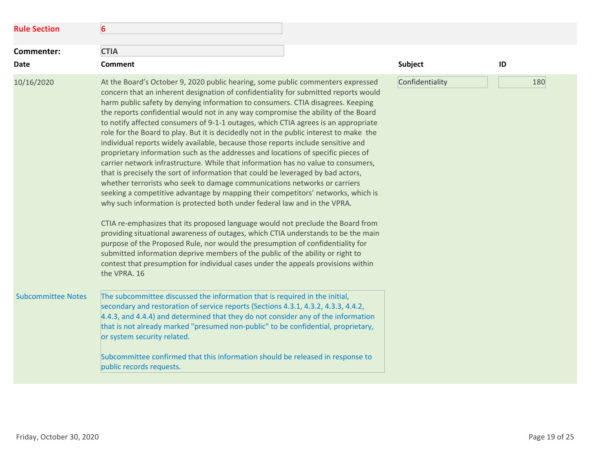| <b>Rule Section</b>       | $6\phantom{1}6$                                                                                                                                                                                                                                                                                                                                                                                                                                                                                                                                                                                                                                                                                                                                                                                                                                                                                                                                                                                                                                                                                                                                                                                                                                                                                                                                                                                                                                                            |                 |     |
|---------------------------|----------------------------------------------------------------------------------------------------------------------------------------------------------------------------------------------------------------------------------------------------------------------------------------------------------------------------------------------------------------------------------------------------------------------------------------------------------------------------------------------------------------------------------------------------------------------------------------------------------------------------------------------------------------------------------------------------------------------------------------------------------------------------------------------------------------------------------------------------------------------------------------------------------------------------------------------------------------------------------------------------------------------------------------------------------------------------------------------------------------------------------------------------------------------------------------------------------------------------------------------------------------------------------------------------------------------------------------------------------------------------------------------------------------------------------------------------------------------------|-----------------|-----|
| Commenter:<br><b>Date</b> | <b>CTIA</b><br><b>Comment</b>                                                                                                                                                                                                                                                                                                                                                                                                                                                                                                                                                                                                                                                                                                                                                                                                                                                                                                                                                                                                                                                                                                                                                                                                                                                                                                                                                                                                                                              | Subject         | ID  |
| 10/16/2020                | At the Board's October 9, 2020 public hearing, some public commenters expressed<br>concern that an inherent designation of confidentiality for submitted reports would<br>harm public safety by denying information to consumers. CTIA disagrees. Keeping<br>the reports confidential would not in any way compromise the ability of the Board<br>to notify affected consumers of 9-1-1 outages, which CTIA agrees is an appropriate<br>role for the Board to play. But it is decidedly not in the public interest to make the<br>individual reports widely available, because those reports include sensitive and<br>proprietary information such as the addresses and locations of specific pieces of<br>carrier network infrastructure. While that information has no value to consumers,<br>that is precisely the sort of information that could be leveraged by bad actors,<br>whether terrorists who seek to damage communications networks or carriers<br>seeking a competitive advantage by mapping their competitors' networks, which is<br>why such information is protected both under federal law and in the VPRA.<br>CTIA re-emphasizes that its proposed language would not preclude the Board from<br>providing situational awareness of outages, which CTIA understands to be the main<br>purpose of the Proposed Rule, nor would the presumption of confidentiality for<br>submitted information deprive members of the public of the ability or right to | Confidentiality | 180 |
| <b>Subcommittee Notes</b> | contest that presumption for individual cases under the appeals provisions within<br>the VPRA. 16<br>The subcommittee discussed the information that is required in the initial,<br>secondary and restoration of service reports (Sections 4.3.1, 4.3.2, 4.3.3, 4.4.2,<br>4.4.3, and 4.4.4) and determined that they do not consider any of the information<br>that is not already marked "presumed non-public" to be confidential, proprietary,<br>or system security related.<br>Subcommittee confirmed that this information should be released in response to<br>public records requests.                                                                                                                                                                                                                                                                                                                                                                                                                                                                                                                                                                                                                                                                                                                                                                                                                                                                              |                 |     |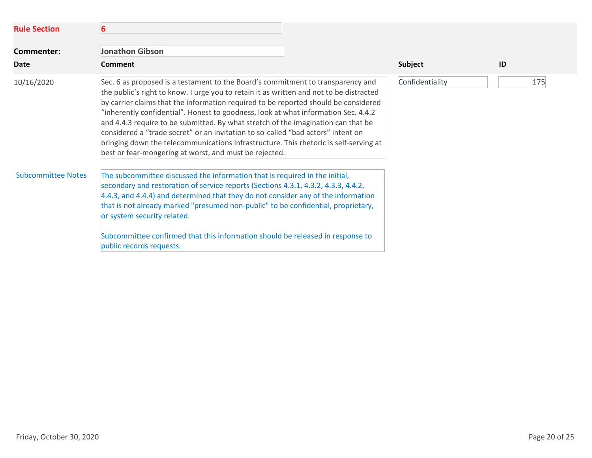| <b>Rule Section</b>       | 6                                                                                                                                                                                                                                                                                                                                                                                                                                                                                                                                                                                                                                                                                   |                 |     |
|---------------------------|-------------------------------------------------------------------------------------------------------------------------------------------------------------------------------------------------------------------------------------------------------------------------------------------------------------------------------------------------------------------------------------------------------------------------------------------------------------------------------------------------------------------------------------------------------------------------------------------------------------------------------------------------------------------------------------|-----------------|-----|
| Commenter:<br><b>Date</b> | <b>Jonathon Gibson</b><br>Comment                                                                                                                                                                                                                                                                                                                                                                                                                                                                                                                                                                                                                                                   | <b>Subject</b>  | ID  |
| 10/16/2020                | Sec. 6 as proposed is a testament to the Board's commitment to transparency and<br>the public's right to know. I urge you to retain it as written and not to be distracted<br>by carrier claims that the information required to be reported should be considered<br>"inherently confidential". Honest to goodness, look at what information Sec. 4.4.2<br>and 4.4.3 require to be submitted. By what stretch of the imagination can that be<br>considered a "trade secret" or an invitation to so-called "bad actors" intent on<br>bringing down the telecommunications infrastructure. This rhetoric is self-serving at<br>best or fear-mongering at worst, and must be rejected. | Confidentiality | 175 |
| <b>Subcommittee Notes</b> | The subcommittee discussed the information that is required in the initial,<br>secondary and restoration of service reports (Sections 4.3.1, 4.3.2, 4.3.3, 4.4.2,<br>4.4.3, and 4.4.4) and determined that they do not consider any of the information<br>that is not already marked "presumed non-public" to be confidential, proprietary,<br>or system security related.<br>Subcommittee confirmed that this information should be released in response to<br>public records requests.                                                                                                                                                                                            |                 |     |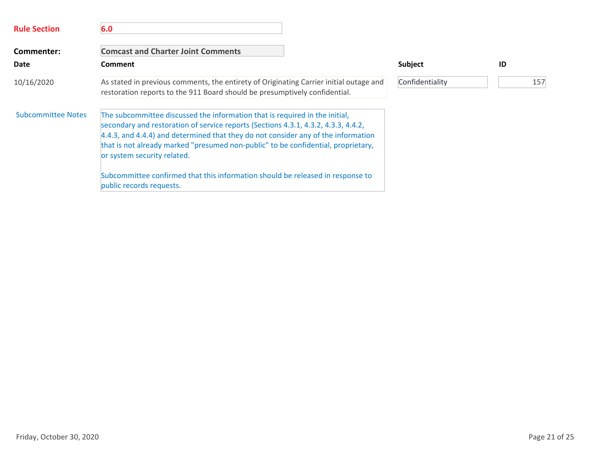| <b>Rule Section</b>       | 6.0                                                                                                                                                                                                                                                                                                                                                                        |                 |     |
|---------------------------|----------------------------------------------------------------------------------------------------------------------------------------------------------------------------------------------------------------------------------------------------------------------------------------------------------------------------------------------------------------------------|-----------------|-----|
| Commenter:                | <b>Comcast and Charter Joint Comments</b>                                                                                                                                                                                                                                                                                                                                  |                 |     |
| <b>Date</b>               | Comment                                                                                                                                                                                                                                                                                                                                                                    | <b>Subject</b>  | ID  |
| 10/16/2020                | As stated in previous comments, the entirety of Originating Carrier initial outage and<br>restoration reports to the 911 Board should be presumptively confidential.                                                                                                                                                                                                       | Confidentiality | 157 |
| <b>Subcommittee Notes</b> | The subcommittee discussed the information that is required in the initial,<br>secondary and restoration of service reports (Sections 4.3.1, 4.3.2, 4.3.3, 4.4.2,<br>4.4.3, and 4.4.4) and determined that they do not consider any of the information<br>that is not already marked "presumed non-public" to be confidential, proprietary,<br>or system security related. |                 |     |
|                           | Subcommittee confirmed that this information should be released in response to<br>public records requests.                                                                                                                                                                                                                                                                 |                 |     |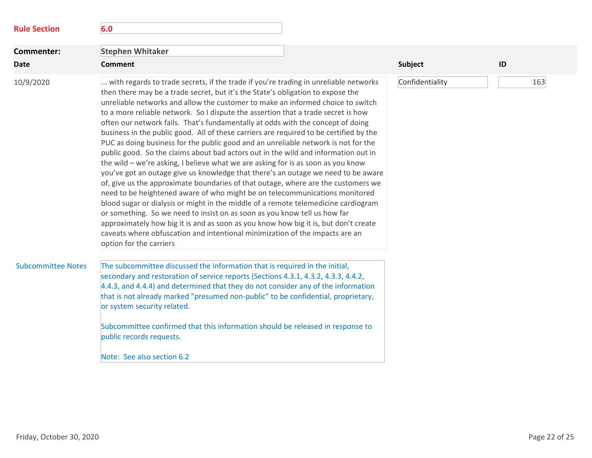| <b>Rule Section</b>       | 6.0                                                                                                                                                                                                                                                                                                                                                                                                                                                                                                                                                                                                                                                                                                                                                                                                                                                                                                                                                                                                                                                                                                                                                                                                                                                                                                                                                                                                                        |                 |     |
|---------------------------|----------------------------------------------------------------------------------------------------------------------------------------------------------------------------------------------------------------------------------------------------------------------------------------------------------------------------------------------------------------------------------------------------------------------------------------------------------------------------------------------------------------------------------------------------------------------------------------------------------------------------------------------------------------------------------------------------------------------------------------------------------------------------------------------------------------------------------------------------------------------------------------------------------------------------------------------------------------------------------------------------------------------------------------------------------------------------------------------------------------------------------------------------------------------------------------------------------------------------------------------------------------------------------------------------------------------------------------------------------------------------------------------------------------------------|-----------------|-----|
| <b>Commenter:</b>         | <b>Stephen Whitaker</b>                                                                                                                                                                                                                                                                                                                                                                                                                                                                                                                                                                                                                                                                                                                                                                                                                                                                                                                                                                                                                                                                                                                                                                                                                                                                                                                                                                                                    |                 |     |
| <b>Date</b>               | <b>Comment</b>                                                                                                                                                                                                                                                                                                                                                                                                                                                                                                                                                                                                                                                                                                                                                                                                                                                                                                                                                                                                                                                                                                                                                                                                                                                                                                                                                                                                             | <b>Subject</b>  | ID  |
| 10/9/2020                 | with regards to trade secrets, if the trade if you're trading in unreliable networks<br>then there may be a trade secret, but it's the State's obligation to expose the<br>unreliable networks and allow the customer to make an informed choice to switch<br>to a more reliable network. So I dispute the assertion that a trade secret is how<br>often our network fails. That's fundamentally at odds with the concept of doing<br>business in the public good. All of these carriers are required to be certified by the<br>PUC as doing business for the public good and an unreliable network is not for the<br>public good. So the claims about bad actors out in the wild and information out in<br>the wild - we're asking, I believe what we are asking for is as soon as you know<br>you've got an outage give us knowledge that there's an outage we need to be aware<br>of, give us the approximate boundaries of that outage, where are the customers we<br>need to be heightened aware of who might be on telecommunications monitored<br>blood sugar or dialysis or might in the middle of a remote telemedicine cardiogram<br>or something. So we need to insist on as soon as you know tell us how far<br>approximately how big it is and as soon as you know how big it is, but don't create<br>caveats where obfuscation and intentional minimization of the impacts are an<br>option for the carriers | Confidentiality | 163 |
| <b>Subcommittee Notes</b> | The subcommittee discussed the information that is required in the initial,<br>secondary and restoration of service reports (Sections 4.3.1, 4.3.2, 4.3.3, 4.4.2,<br>4.4.3, and 4.4.4) and determined that they do not consider any of the information<br>that is not already marked "presumed non-public" to be confidential, proprietary,<br>or system security related.<br>Subcommittee confirmed that this information should be released in response to<br>public records requests.<br>Note: See also section 6.2                                                                                                                                                                                                                                                                                                                                                                                                                                                                                                                                                                                                                                                                                                                                                                                                                                                                                                     |                 |     |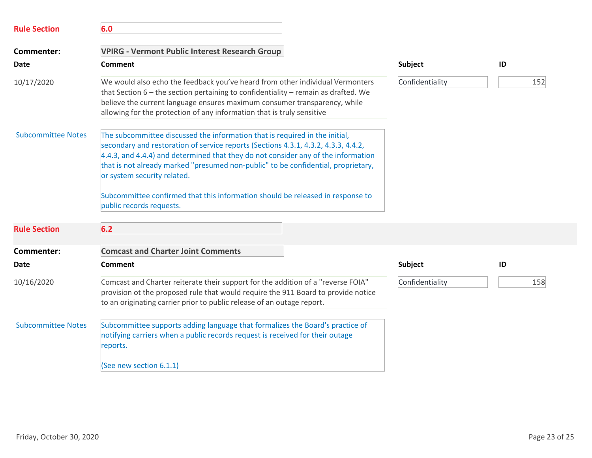| <b>Rule Section</b>       | 6.0                                                                                                                                                                                                                                                                                                                                                                                                                                                                                      |                 |     |
|---------------------------|------------------------------------------------------------------------------------------------------------------------------------------------------------------------------------------------------------------------------------------------------------------------------------------------------------------------------------------------------------------------------------------------------------------------------------------------------------------------------------------|-----------------|-----|
| Commenter:                | <b>VPIRG - Vermont Public Interest Research Group</b>                                                                                                                                                                                                                                                                                                                                                                                                                                    |                 |     |
| Date                      | Comment                                                                                                                                                                                                                                                                                                                                                                                                                                                                                  | Subject         | ID  |
| 10/17/2020                | We would also echo the feedback you've heard from other individual Vermonters<br>that Section $6$ – the section pertaining to confidentiality – remain as drafted. We<br>believe the current language ensures maximum consumer transparency, while<br>allowing for the protection of any information that is truly sensitive                                                                                                                                                             | Confidentiality | 152 |
| <b>Subcommittee Notes</b> | The subcommittee discussed the information that is required in the initial,<br>secondary and restoration of service reports (Sections 4.3.1, 4.3.2, 4.3.3, 4.4.2,<br>4.4.3, and 4.4.4) and determined that they do not consider any of the information<br>that is not already marked "presumed non-public" to be confidential, proprietary,<br>or system security related.<br>Subcommittee confirmed that this information should be released in response to<br>public records requests. |                 |     |
| <b>Rule Section</b>       | 6.2                                                                                                                                                                                                                                                                                                                                                                                                                                                                                      |                 |     |
| <b>Commenter:</b>         | <b>Comcast and Charter Joint Comments</b>                                                                                                                                                                                                                                                                                                                                                                                                                                                |                 |     |
| Date                      | <b>Comment</b>                                                                                                                                                                                                                                                                                                                                                                                                                                                                           | Subject         | ID  |
| 10/16/2020                | Comcast and Charter reiterate their support for the addition of a "reverse FOIA"<br>provision ot the proposed rule that would require the 911 Board to provide notice<br>to an originating carrier prior to public release of an outage report.                                                                                                                                                                                                                                          | Confidentiality | 158 |
| <b>Subcommittee Notes</b> | Subcommittee supports adding language that formalizes the Board's practice of<br>notifying carriers when a public records request is received for their outage<br>reports.                                                                                                                                                                                                                                                                                                               |                 |     |
|                           | (See new section 6.1.1)                                                                                                                                                                                                                                                                                                                                                                                                                                                                  |                 |     |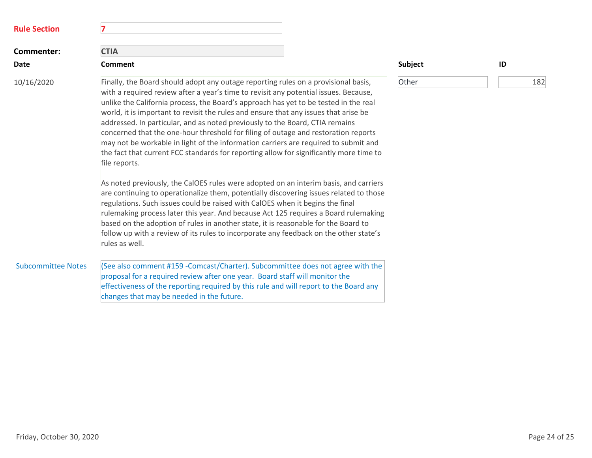| <b>Rule Section</b>       | 7                                                                                                                                                                                                                                                                                                                                                                                                                                                                                                                                                                                                                                                                                                                                                                                                                                                                                                                                                                                                                                                                                                                                                                                                                                                                                             |         |     |
|---------------------------|-----------------------------------------------------------------------------------------------------------------------------------------------------------------------------------------------------------------------------------------------------------------------------------------------------------------------------------------------------------------------------------------------------------------------------------------------------------------------------------------------------------------------------------------------------------------------------------------------------------------------------------------------------------------------------------------------------------------------------------------------------------------------------------------------------------------------------------------------------------------------------------------------------------------------------------------------------------------------------------------------------------------------------------------------------------------------------------------------------------------------------------------------------------------------------------------------------------------------------------------------------------------------------------------------|---------|-----|
| Commenter:                | <b>CTIA</b>                                                                                                                                                                                                                                                                                                                                                                                                                                                                                                                                                                                                                                                                                                                                                                                                                                                                                                                                                                                                                                                                                                                                                                                                                                                                                   |         |     |
| Date                      | Comment                                                                                                                                                                                                                                                                                                                                                                                                                                                                                                                                                                                                                                                                                                                                                                                                                                                                                                                                                                                                                                                                                                                                                                                                                                                                                       | Subject | ID  |
| 10/16/2020                | Finally, the Board should adopt any outage reporting rules on a provisional basis,<br>with a required review after a year's time to revisit any potential issues. Because,<br>unlike the California process, the Board's approach has yet to be tested in the real<br>world, it is important to revisit the rules and ensure that any issues that arise be<br>addressed. In particular, and as noted previously to the Board, CTIA remains<br>concerned that the one-hour threshold for filing of outage and restoration reports<br>may not be workable in light of the information carriers are required to submit and<br>the fact that current FCC standards for reporting allow for significantly more time to<br>file reports.<br>As noted previously, the CalOES rules were adopted on an interim basis, and carriers<br>are continuing to operationalize them, potentially discovering issues related to those<br>regulations. Such issues could be raised with CalOES when it begins the final<br>rulemaking process later this year. And because Act 125 requires a Board rulemaking<br>based on the adoption of rules in another state, it is reasonable for the Board to<br>follow up with a review of its rules to incorporate any feedback on the other state's<br>rules as well. | Other   | 182 |
| <b>Subcommittee Notes</b> | (See also comment #159 - Comcast/Charter). Subcommittee does not agree with the<br>proposal for a required review after one year. Board staff will monitor the<br>effectiveness of the reporting required by this rule and will report to the Board any<br>changes that may be needed in the future.                                                                                                                                                                                                                                                                                                                                                                                                                                                                                                                                                                                                                                                                                                                                                                                                                                                                                                                                                                                          |         |     |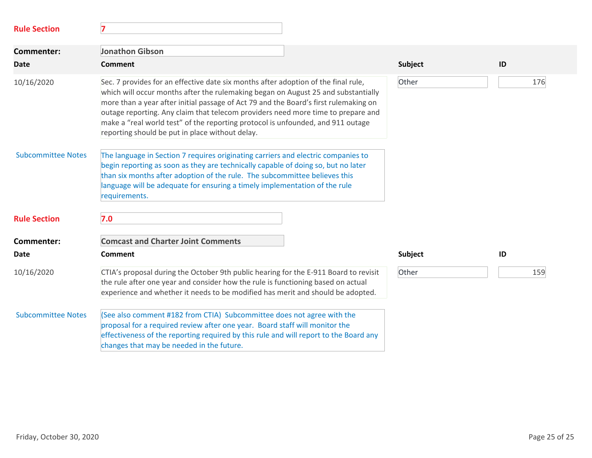| <b>Rule Section</b>       | 7                                                                                                                                                                                                                                                                                                                                                                                                                                                                                         |         |     |
|---------------------------|-------------------------------------------------------------------------------------------------------------------------------------------------------------------------------------------------------------------------------------------------------------------------------------------------------------------------------------------------------------------------------------------------------------------------------------------------------------------------------------------|---------|-----|
| <b>Commenter:</b>         | <b>Jonathon Gibson</b>                                                                                                                                                                                                                                                                                                                                                                                                                                                                    |         |     |
| <b>Date</b>               | Comment                                                                                                                                                                                                                                                                                                                                                                                                                                                                                   | Subject | ID  |
| 10/16/2020                | Sec. 7 provides for an effective date six months after adoption of the final rule,<br>which will occur months after the rulemaking began on August 25 and substantially<br>more than a year after initial passage of Act 79 and the Board's first rulemaking on<br>outage reporting. Any claim that telecom providers need more time to prepare and<br>make a "real world test" of the reporting protocol is unfounded, and 911 outage<br>reporting should be put in place without delay. | Other   | 176 |
| <b>Subcommittee Notes</b> | The language in Section 7 requires originating carriers and electric companies to<br>begin reporting as soon as they are technically capable of doing so, but no later<br>than six months after adoption of the rule. The subcommittee believes this<br>language will be adequate for ensuring a timely implementation of the rule<br>requirements.                                                                                                                                       |         |     |
| <b>Rule Section</b>       | 7.0                                                                                                                                                                                                                                                                                                                                                                                                                                                                                       |         |     |
| <b>Commenter:</b>         | <b>Comcast and Charter Joint Comments</b>                                                                                                                                                                                                                                                                                                                                                                                                                                                 |         |     |
| <b>Date</b>               | <b>Comment</b>                                                                                                                                                                                                                                                                                                                                                                                                                                                                            | Subject | ID  |
| 10/16/2020                | CTIA's proposal during the October 9th public hearing for the E-911 Board to revisit<br>the rule after one year and consider how the rule is functioning based on actual<br>experience and whether it needs to be modified has merit and should be adopted.                                                                                                                                                                                                                               | Other   | 159 |
| <b>Subcommittee Notes</b> | (See also comment #182 from CTIA) Subcommittee does not agree with the<br>proposal for a required review after one year. Board staff will monitor the<br>effectiveness of the reporting required by this rule and will report to the Board any<br>changes that may be needed in the future.                                                                                                                                                                                               |         |     |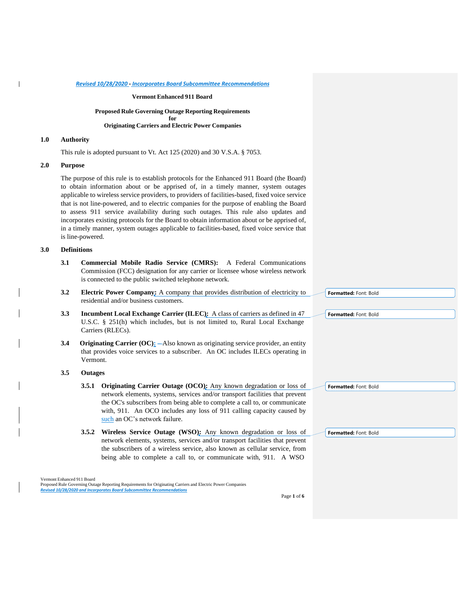#### **Vermont Enhanced 911 Board**

## **Proposed Rule Governing Outage Reporting Requirements for Originating Carriers and Electric Power Companies**

## **1.0 Authority**

This rule is adopted pursuant to Vt. Act 125 (2020) and 30 V.S.A. § 7053.

# **2.0 Purpose**

The purpose of this rule is to establish protocols for the Enhanced 911 Board (the Board) to obtain information about or be apprised of, in a timely manner, system outages applicable to wireless service providers, to providers of facilities-based, fixed voice service that is not line-powered, and to electric companies for the purpose of enabling the Board to assess 911 service availability during such outages. This rule also updates and incorporates existing protocols for the Board to obtain information about or be apprised of, in a timely manner, system outages applicable to facilities-based, fixed voice service that is line-powered.

## **3.0 Definitions**

- **3.1 Commercial Mobile Radio Service (CMRS):** A Federal Communications Commission (FCC) designation for any carrier or licensee whose wireless network is connected to the public switched telephone network.
- **3.2 Electric Power Company:** A company that provides distribution of electricity to residential and/or business customers.
- **3.3 Incumbent Local Exchange Carrier (ILEC):** A class of carriers as defined in 47 U.S.C. § 251(h) which includes, but is not limited to, Rural Local Exchange Carriers (RLECs).
- **3.4** Originating Carrier (OC): —Also known as originating service provider, an entity that provides voice services to a subscriber. An OC includes ILECs operating in Vermont.

## **3.5 Outages**

- **3.5.1 Originating Carrier Outage (OCO):** Any known degradation or loss of network elements, systems, services and/or transport facilities that prevent the OC's subscribers from being able to complete a call to, or communicate with, 911. An OCO includes any loss of 911 calling capacity caused by such an OC's network failure.
- **3.5.2 Wireless Service Outage (WSO):** Any known degradation or loss of network elements, systems, services and/or transport facilities that prevent the subscribers of a wireless service, also known as cellular service, from being able to complete a call to, or communicate with, 911. A WSO

|  | Formatted: Font: Bold |  |  |
|--|-----------------------|--|--|
|  |                       |  |  |
|  |                       |  |  |
|  |                       |  |  |
|  |                       |  |  |
|  |                       |  |  |
|  |                       |  |  |
|  |                       |  |  |
|  |                       |  |  |
|  | Formatted: Font: Bold |  |  |

**Formatted:** Font: Bold

**Formatted:** Font: Bold

Vermont Enhanced 911 Board Proposed Rule Governing Outage Reporting Requirements for Originating Carriers and Electric Power Companies *Revised 10/28/2020 and Incorporates Board Subcommittee Recommendations*

Page **1** of **6**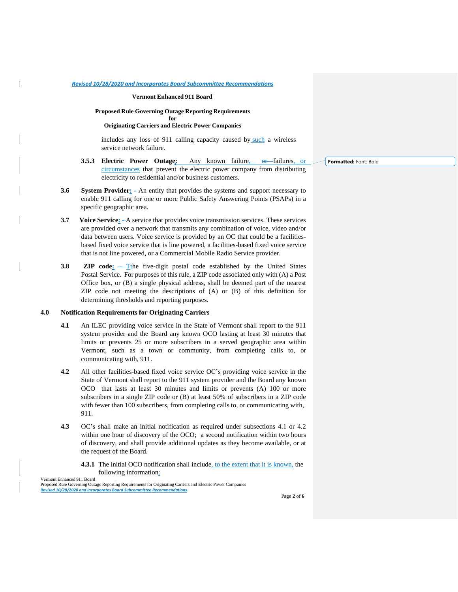## **Vermont Enhanced 911 Board**

#### **Proposed Rule Governing Outage Reporting Requirements for**

#### **Originating Carriers and Electric Power Companies**

includes any loss of 911 calling capacity caused by such a wireless service network failure.

- **3.5.3 Electric Power Outage:** Any known failure, or failures, or circumstances that prevent the electric power company from distributing electricity to residential and/or business customers.
- **3.6 System Provider:** An entity that provides the systems and support necessary to enable 911 calling for one or more Public Safety Answering Points (PSAPs) in a specific geographic area.
- **3.7** Voice Service:  $-A$  service that provides voice transmission services. These services are provided over a network that transmits any combination of voice, video and/or data between users. Voice service is provided by an OC that could be a facilitiesbased fixed voice service that is line powered, a facilities-based fixed voice service that is not line powered, or a Commercial Mobile Radio Service provider.
- **3.8 ZIP code:** -T<sub>the</sub> five-digit postal code established by the United States Postal Service. For purposes of this rule, a ZIP code associated only with (A) a Post Office box, or (B) a single physical address, shall be deemed part of the nearest ZIP code not meeting the descriptions of (A) or (B) of this definition for determining thresholds and reporting purposes.

## **4.0 Notification Requirements for Originating Carriers**

 $\mathsf{l}$ 

- **4.1** An ILEC providing voice service in the State of Vermont shall report to the 911 system provider and the Board any known OCO lasting at least 30 minutes that limits or prevents 25 or more subscribers in a served geographic area within Vermont, such as a town or community, from completing calls to, or communicating with, 911.
- **4.2** All other facilities-based fixed voice service OC's providing voice service in the State of Vermont shall report to the 911 system provider and the Board any known OCO that lasts at least 30 minutes and limits or prevents (A) 100 or more subscribers in a single ZIP code or (B) at least 50% of subscribers in a ZIP code with fewer than 100 subscribers, from completing calls to, or communicating with, 911.
- **4.3** OC's shall make an initial notification as required under subsections 4.1 or 4.2 within one hour of discovery of the OCO; a second notification within two hours of discovery, and shall provide additional updates as they become available, or at the request of the Board.
	- **4.3.1** The initial OCO notification shall include, to the extent that it is known, the following information:

Vermont Enhanced 911 Board Proposed Rule Governing Outage Reporting Requirements for Originating Carriers and Electric Power Companies *Revised 10/28/2020 and Incorporates Board Subcommittee Recommendations*

**Formatted:** Font: Bold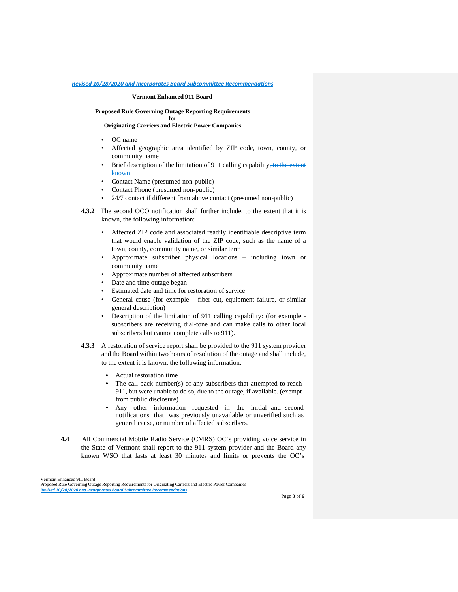#### **Vermont Enhanced 911 Board**

## **Proposed Rule Governing Outage Reporting Requirements**

**for**

# **Originating Carriers and Electric Power Companies**

• OC name

 $\mathsf{l}$ 

- Affected geographic area identified by ZIP code, town, county, or community name
- Brief description of the limitation of 911 calling capability, to the extent known
- Contact Name (presumed non-public)
- Contact Phone (presumed non-public)
- 24/7 contact if different from above contact (presumed non-public)
- **4.3.2** The second OCO notification shall further include, to the extent that it is known, the following information:
	- Affected ZIP code and associated readily identifiable descriptive term that would enable validation of the ZIP code, such as the name of a town, county, community name, or similar term
	- Approximate subscriber physical locations including town or community name
	- Approximate number of affected subscribers
	- Date and time outage began
	- Estimated date and time for restoration of service
	- General cause (for example fiber cut, equipment failure, or similar general description)
	- Description of the limitation of 911 calling capability: (for example subscribers are receiving dial-tone and can make calls to other local subscribers but cannot complete calls to 911).
- **4.3.3** A restoration of service report shall be provided to the 911 system provider and the Board within two hours of resolution of the outage and shall include, to the extent it is known, the following information:
	- Actual restoration time
	- The call back number(s) of any subscribers that attempted to reach 911, but were unable to do so, due to the outage, if available. (exempt from public disclosure)
	- Any other information requested in the initial and second notifications that was previously unavailable or unverified such as general cause, or number of affected subscribers.
- **4.4** All Commercial Mobile Radio Service (CMRS) OC's providing voice service in the State of Vermont shall report to the 911 system provider and the Board any known WSO that lasts at least 30 minutes and limits or prevents the OC's

Vermont Enhanced 911 Board Proposed Rule Governing Outage Reporting Requirements for Originating Carriers and Electric Power Companies *Revised 10/28/2020 and Incorporates Board Subcommittee Recommendations*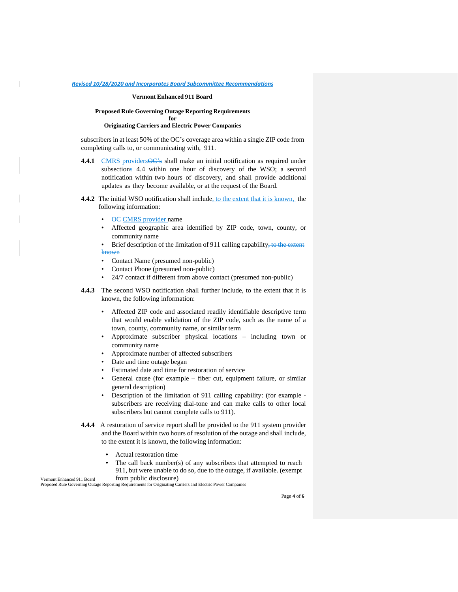#### **Vermont Enhanced 911 Board**

#### **Proposed Rule Governing Outage Reporting Requirements for**

# **Originating Carriers and Electric Power Companies**

subscribers in at least 50% of the OC's coverage area within a single ZIP code from completing calls to, or communicating with, 911.

- **4.4.1** CMRS providers  $\overline{OC}$ 's shall make an initial notification as required under subsections 4.4 within one hour of discovery of the WSO; a second notification within two hours of discovery, and shall provide additional updates as they become available, or at the request of the Board.
- **4.4.2** The initial WSO notification shall include, to the extent that it is known, the following information:
	- **OC-CMRS** provider name
	- Affected geographic area identified by ZIP code, town, county, or community name

Brief description of the limitation of 911 calling capability, to the extent known

- Contact Name (presumed non-public)
- Contact Phone (presumed non-public)
- 24/7 contact if different from above contact (presumed non-public)
- **4.4.3** The second WSO notification shall further include, to the extent that it is known, the following information:
	- Affected ZIP code and associated readily identifiable descriptive term that would enable validation of the ZIP code, such as the name of a town, county, community name, or similar term
	- Approximate subscriber physical locations including town or community name
	- Approximate number of affected subscribers
	- Date and time outage began
	- Estimated date and time for restoration of service
	- General cause (for example fiber cut, equipment failure, or similar general description)
	- Description of the limitation of 911 calling capability: (for example subscribers are receiving dial-tone and can make calls to other local subscribers but cannot complete calls to 911).
- **4.4.4** A restoration of service report shall be provided to the 911 system provider and the Board within two hours of resolution of the outage and shall include, to the extent it is known, the following information:
	- Actual restoration time
	- The call back number(s) of any subscribers that attempted to reach 911, but were unable to do so, due to the outage, if available. (exempt from public disclosure)

Proposed Rule Governing Outage Reporting Requirements for Originating Carriers and Electric Power Companies

Vermont Enhanced 911 Board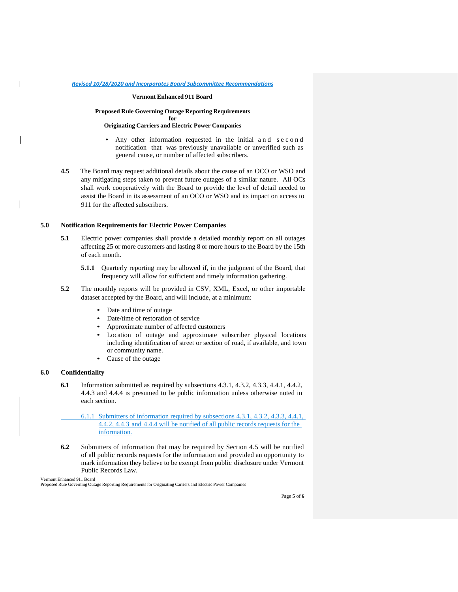#### **Vermont Enhanced 911 Board**

## **Proposed Rule Governing Outage Reporting Requirements for**

#### **Originating Carriers and Electric Power Companies**

- Any other information requested in the initial a n d s e c o n d notification that was previously unavailable or unverified such as general cause, or number of affected subscribers.
- **4.5** The Board may request additional details about the cause of an OCO or WSO and any mitigating steps taken to prevent future outages of a similar nature. All OCs shall work cooperatively with the Board to provide the level of detail needed to assist the Board in its assessment of an OCO or WSO and its impact on access to 911 for the affected subscribers.

## **5.0 Notification Requirements for Electric Power Companies**

- **5.1** Electric power companies shall provide a detailed monthly report on all outages affecting 25 or more customers and lasting 8 or more hours to the Board by the 15th of each month.
	- **5.1.1** Quarterly reporting may be allowed if, in the judgment of the Board, that frequency will allow for sufficient and timely information gathering.
- **5.2** The monthly reports will be provided in CSV, XML, Excel, or other importable dataset accepted by the Board, and will include, at a minimum:
	- Date and time of outage
	- Date/time of restoration of service
	- Approximate number of affected customers
	- Location of outage and approximate subscriber physical locations including identification of street or section of road, if available, and town or community name.
	- Cause of the outage

## **6.0 Confidentiality**

 $\mathsf{I}$ 

- **6.1** Information submitted as required by subsections 4.3.1, 4.3.2, 4.3.3, 4.4.1, 4.4.2, 4.4.3 and 4.4.4 is presumed to be public information unless otherwise noted in each section.
	- 6.1.1 Submitters of information required by subsections 4.3.1, 4.3.2, 4.3.3, 4.4.1, 4.4.2, 4.4.3 and 4.4.4 will be notified of all public records requests for the information.
- **6.2** Submitters of information that may be required by Section 4.5 will be notified of all public records requests for the information and provided an opportunity to mark information they believe to be exempt from public disclosure under Vermont Public Records Law.

Vermont Enhanced 911 Board

Proposed Rule Governing Outage Reporting Requirements for Originating Carriers and Electric Power Companies

Page **5** of **6**